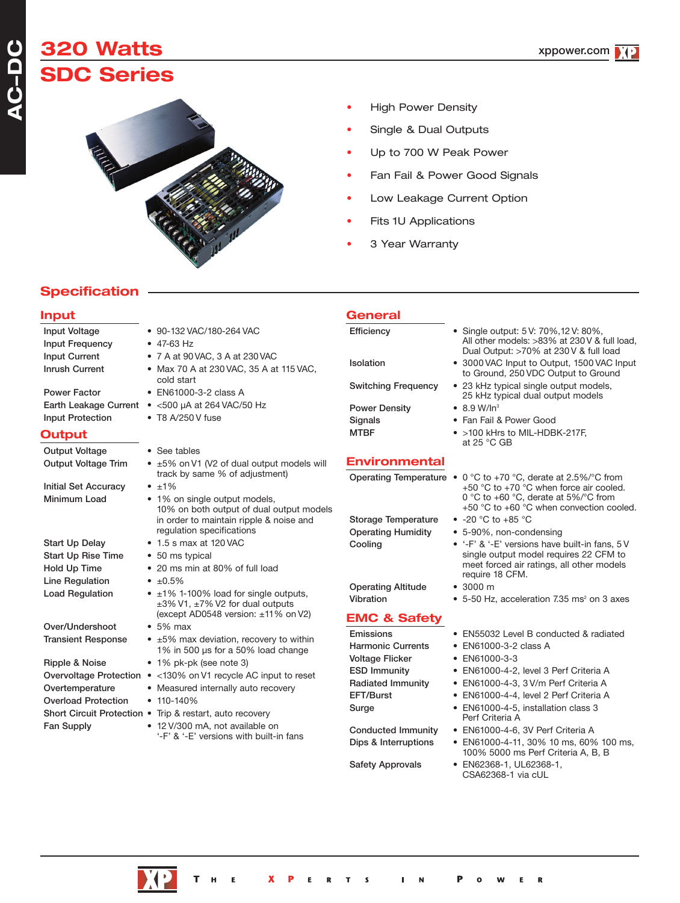## **A C - D C**

# **320 Watts SDC Series**



- High Power Density
- Single & Dual Outputs
- Up to 700 W Peak Power
- Fan Fail & Power Good Signals
- Low Leakage Current Option
- Fits 1U Applications
- 3 Year Warranty

**General**

## **Specification**

### **Input**

| <b>Input Voltage</b><br><b>Input Frequency</b>                                                                                | • 90-132 VAC/180-264 VAC<br>$\bullet$ 47-63 Hz                                                                                                                                                                                                                                                                                                                                                                                                         | Efficiency                                                                                                                                                                                                                                          | • Single output: 5 V: 70%, 12 V: 80%,<br>All other models: >83% at 230 V & full load,<br>Dual Output: >70% at 230 V & full load                                                                                                                                                                                                                                                                                        |
|-------------------------------------------------------------------------------------------------------------------------------|--------------------------------------------------------------------------------------------------------------------------------------------------------------------------------------------------------------------------------------------------------------------------------------------------------------------------------------------------------------------------------------------------------------------------------------------------------|-----------------------------------------------------------------------------------------------------------------------------------------------------------------------------------------------------------------------------------------------------|------------------------------------------------------------------------------------------------------------------------------------------------------------------------------------------------------------------------------------------------------------------------------------------------------------------------------------------------------------------------------------------------------------------------|
| <b>Input Current</b><br><b>Inrush Current</b>                                                                                 | • 7 A at 90 VAC, 3 A at 230 VAC<br>• Max 70 A at 230 VAC, 35 A at 115 VAC,                                                                                                                                                                                                                                                                                                                                                                             | Isolation                                                                                                                                                                                                                                           | • 3000 VAC Input to Output, 1500 VAC Input<br>to Ground, 250 VDC Output to Ground                                                                                                                                                                                                                                                                                                                                      |
| <b>Power Factor</b>                                                                                                           | cold start<br>• EN61000-3-2 class A<br>Earth Leakage Current • <500 µA at 264 VAC/50 Hz                                                                                                                                                                                                                                                                                                                                                                | <b>Switching Frequency</b><br><b>Power Density</b>                                                                                                                                                                                                  | • 23 kHz typical single output models,<br>25 kHz typical dual output models<br>$\bullet$ 8.9 W/In <sup>3</sup>                                                                                                                                                                                                                                                                                                         |
| <b>Input Protection</b>                                                                                                       | $\bullet$ T8 A/250 V fuse                                                                                                                                                                                                                                                                                                                                                                                                                              | Signals                                                                                                                                                                                                                                             | • Fan Fail & Power Good                                                                                                                                                                                                                                                                                                                                                                                                |
| <b>Output</b>                                                                                                                 |                                                                                                                                                                                                                                                                                                                                                                                                                                                        | <b>MTBF</b>                                                                                                                                                                                                                                         | • >100 kHrs to MIL-HDBK-217F,<br>at 25 °C GB                                                                                                                                                                                                                                                                                                                                                                           |
| <b>Output Voltage</b>                                                                                                         | • See tables                                                                                                                                                                                                                                                                                                                                                                                                                                           |                                                                                                                                                                                                                                                     |                                                                                                                                                                                                                                                                                                                                                                                                                        |
| <b>Output Voltage Trim</b>                                                                                                    | • ±5% on V1 (V2 of dual output models will                                                                                                                                                                                                                                                                                                                                                                                                             | <b>Environmental</b>                                                                                                                                                                                                                                |                                                                                                                                                                                                                                                                                                                                                                                                                        |
| <b>Initial Set Accuracy</b><br>Minimum Load                                                                                   | track by same % of adjustment)<br>$\cdot$ $\pm 1\%$<br>• 1% on single output models,<br>10% on both output of dual output models<br>in order to maintain ripple & noise and<br>regulation specifications                                                                                                                                                                                                                                               | Operating Temperature •<br><b>Storage Temperature</b><br><b>Operating Humidity</b>                                                                                                                                                                  | 0 °C to +70 °C, derate at 2.5%/°C from<br>+50 °C to +70 °C when force air cooled.<br>0 °C to +60 °C, derate at $5\%$ °C from<br>+50 °C to +60 °C when convection cooled.<br>• $-20$ °C to $+85$ °C<br>• 5-90%, non-condensing                                                                                                                                                                                          |
| <b>Start Up Delay</b><br><b>Start Up Rise Time</b><br>Hold Up Time                                                            | $\bullet$ 1.5 s max at 120 VAC<br>• 50 ms typical<br>• 20 ms min at 80% of full load                                                                                                                                                                                                                                                                                                                                                                   | Cooling                                                                                                                                                                                                                                             | • '-F' & '-E' versions have built-in fans, 5 V<br>single output model requires 22 CFM to<br>meet forced air ratings, all other models                                                                                                                                                                                                                                                                                  |
| Line Regulation<br><b>Load Regulation</b>                                                                                     | $\cdot$ ±0.5%<br>• ±1% 1-100% load for single outputs,<br>±3% V1, ±7% V2 for dual outputs                                                                                                                                                                                                                                                                                                                                                              | <b>Operating Altitude</b><br>Vibration                                                                                                                                                                                                              | require 18 CFM.<br>• 3000 m<br>• 5-50 Hz, acceleration 7.35 ms <sup>2</sup> on 3 axes                                                                                                                                                                                                                                                                                                                                  |
| Over/Undershoot<br><b>Transient Response</b><br>Ripple & Noise<br>Overtemperature<br><b>Overload Protection</b><br>Fan Supply | (except AD0548 version: ±11% on V2)<br>$\bullet$ 5% max<br>$\bullet$ $\pm 5\%$ max deviation, recovery to within<br>1% in 500 µs for a 50% load change<br>• 1% pk-pk (see note 3)<br>Overvoltage Protection • <130% on V1 recycle AC input to reset<br>• Measured internally auto recovery<br>$• 110 - 140%$<br>Short Circuit Protection . Trip & restart, auto recovery<br>• 12 V/300 mA, not available on<br>'-F' & '-E' versions with built-in fans | <b>EMC &amp; Safety</b><br>Emissions<br><b>Harmonic Currents</b><br><b>Voltage Flicker</b><br><b>ESD Immunity</b><br><b>Radiated Immunity</b><br>EFT/Burst<br>Surge<br><b>Conducted Immunity</b><br>Dips & Interruptions<br><b>Safety Approvals</b> | • EN55032 Level B conducted & radiated<br>• EN61000-3-2 class A<br>• EN61000-3-3<br>• EN61000-4-2, level 3 Perf Criteria A<br>· EN61000-4-3, 3 V/m Perf Criteria A<br>• EN61000-4-4, level 2 Perf Criteria A<br>• EN61000-4-5, installation class 3<br>Perf Criteria A<br>• EN61000-4-6, 3V Perf Criteria A<br>• EN61000-4-11, 30% 10 ms, 60% 100 ms,<br>100% 5000 ms Perf Criteria A, B, B<br>• EN62368-1, UL62368-1, |



CSA62368-1 via cUL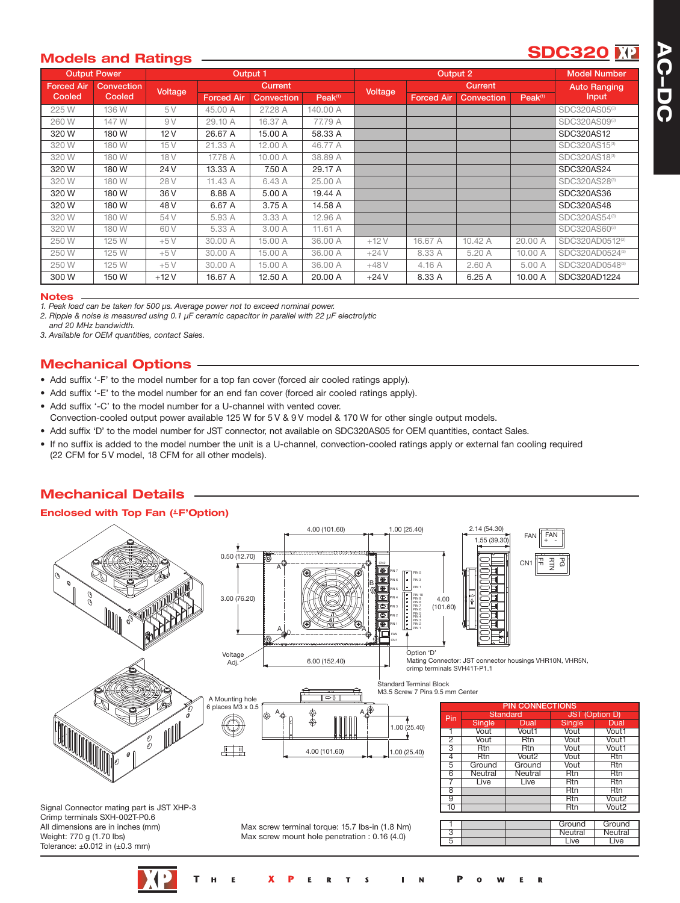# **SDC320**

### **Models and Ratings**

|                   | <b>Output Power</b> |                                  |                   | Output 1   |                     | Output 2 |                     |            | <b>Model Number</b> |                           |
|-------------------|---------------------|----------------------------------|-------------------|------------|---------------------|----------|---------------------|------------|---------------------|---------------------------|
| <b>Forced Air</b> | <b>Convection</b>   | <b>Current</b><br><b>Voltage</b> |                   | Voltage    | <b>Current</b>      |          | <b>Auto Ranging</b> |            |                     |                           |
| <b>Cooled</b>     | Cooled              |                                  | <b>Forced Air</b> | Convection | Peak <sup>(1)</sup> |          | <b>Forced Air</b>   | Convection | Peak <sup>(1)</sup> | <b>Input</b>              |
| 225 W             | 136 W               | 5 V                              | 45.00 A           | 27.28 A    | 140.00 A            |          |                     |            |                     | SDC320AS05 <sup>®</sup>   |
| 260W              | 147 W               | 9V                               | 29.10 A           | 16.37 A    | 77.79 A             |          |                     |            |                     | SDC320AS09 <sup>®</sup>   |
| 320 W             | 180W                | 12V                              | 26.67 A           | 15.00 A    | 58.33 A             |          |                     |            |                     | SDC320AS12                |
| 320 W             | 180 W               | 15V                              | 21.33 A           | 12.00 A    | 46.77 A             |          |                     |            |                     | SDC320AS15(3)             |
| 320 W             | 180 W               | 18 <sub>V</sub>                  | 17.78 A           | 10.00 A    | 38.89 A             |          |                     |            |                     | SDC320AS18 <sup>(3)</sup> |
| 320W              | 180 W               | 24 V                             | 13.33 A           | 7.50 A     | 29.17 A             |          |                     |            |                     | SDC320AS24                |
| 320 W             | 180 W               | 28 V                             | 11.43 A           | 6.43 A     | 25.00 A             |          |                     |            |                     | SDC320AS28(3)             |
| 320W              | 180 W               | 36 V                             | 8.88 A            | 5.00 A     | 19.44 A             |          |                     |            |                     | SDC320AS36                |
| 320 W             | 180 W               | 48 V                             | 6.67 A            | 3.75 A     | 14.58 A             |          |                     |            |                     | SDC320AS48                |
| 320 W             | 180 W               | 54 V                             | 5.93 A            | 3.33 A     | 12.96 A             |          |                     |            |                     | SDC320AS54(3)             |
| 320W              | 180W                | 60 V                             | 5.33 A            | 3.00 A     | 11.61 A             |          |                     |            |                     | SDC320AS60 <sup>(3)</sup> |
| 250 W             | 125 W               | $+5V$                            | 30.00 A           | 15.00 A    | 36.00 A             | $+12V$   | 16.67 A             | 10.42 A    | 20.00 A             | SDC320AD0512(3)           |
| 250 W             | 125 W               | $+5V$                            | 30.00 A           | 15.00 A    | 36.00 A             | $+24V$   | 8.33 A              | 5.20 A     | 10.00 A             | SDC320AD0524(3)           |
| 250 W             | 125 W               | $+5V$                            | 30.00 A           | 15.00 A    | 36.00 A             | $+48V$   | 4.16A               | 2.60A      | 5.00 A              | SDC320AD0548(3)           |
| 300 W             | 150W                | $+12V$                           | 16.67 A           | 12.50 A    | 20.00 A             | $+24V$   | 8.33 A              | 6.25A      | 10.00 A             | SDC320AD1224              |

#### **Notes**

*1. Peak load can be taken for 500 µs. Average power not to exceed nominal power.*

*2. Ripple & noise is measured using 0.1 µF ceramic capacitor in parallel with 22 µF electrolytic*

*and 20 MHz bandwidth.*

*3. Available for OEM quantities, contact Sales.*

### **Mechanical Options**

- Add suffix '-F' to the model number for a top fan cover (forced air cooled ratings apply).
- Add suffix '-E' to the model number for an end fan cover (forced air cooled ratings apply).
- Add suffix '-C' to the model number for a U-channel with vented cover.
- Convection-cooled output power available 125 W for 5 V & 9 V model & 170 W for other single output models.
- Add suffix 'D' to the model number for JST connector, not available on SDC320AS05 for OEM quantities, contact Sales.
- If no suffix is added to the model number the unit is a U-channel, convection-cooled ratings apply or external fan cooling required (22 CFM for 5 V model, 18 CFM for all other models).

### **Mechanical Details**

#### **Enclosed with Top Fan (-' F'Option)**

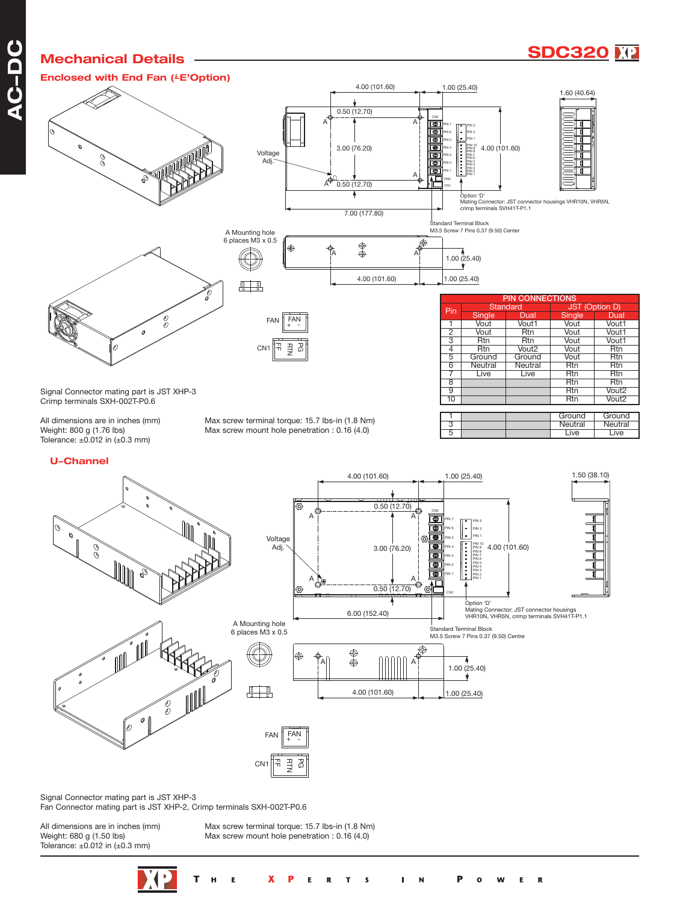## **Mechanical Details**



**Enclosed with End Fan (-' E'Option)** Voltage C<br>C Adj.  $A^{\bigoplus 1}$ A Mounting hole 6 places M3 x 0.5 A A ക (Œ 4.00 (101.60) 1.00 (25.40)







| <b>PIN CONNECTIONS</b> |               |                   |                       |                   |  |  |
|------------------------|---------------|-------------------|-----------------------|-------------------|--|--|
| Pin                    | Standard      |                   | <b>JST (Option D)</b> |                   |  |  |
|                        | <b>Single</b> | Dual              | <b>Single</b>         | Dual              |  |  |
|                        | Vout          | Vout1             | Vout                  | Vout1             |  |  |
| $\overline{2}$         | Vout          | Rtn               | Vout                  | Vout1             |  |  |
| 3                      | <b>Rtn</b>    | <b>Rtn</b>        | Vout                  | Vout1             |  |  |
| 4                      | <b>Rtn</b>    | Vout <sub>2</sub> | Vout                  | <b>Rtn</b>        |  |  |
| 5                      | Ground        | Ground            | Vout                  | <b>Rtn</b>        |  |  |
| $\overline{6}$         | Neutral       | Neutral           | <b>Rtn</b>            | <b>Rtn</b>        |  |  |
|                        | Live          | Live              | Rtn                   | <b>Rtn</b>        |  |  |
| 8                      |               |                   | <b>Rtn</b>            | <b>Rtn</b>        |  |  |
| 9                      |               |                   | <b>Rtn</b>            | Vout <sub>2</sub> |  |  |
| 10                     |               |                   | Rtn                   | Vout2             |  |  |
|                        |               |                   |                       |                   |  |  |

5 **Live** Live Live

1.50 (38.10)

Ground Ground<br>Neutral Neutral **Neutral Neutral**<br>
Live Live

Signal Connector mating part is JST XHP-3 Crimp terminals SXH-002T-P0.6

Tolerance:  $\pm 0.012$  in ( $\pm 0.3$  mm)

All dimensions are in inches (mm) Max screw terminal torque: 15.7 lbs-in (1.8 Nm)<br>Weight: 800 g (1.76 lbs) Max screw mount hole penetration : 0.16 (4.0) Max screw mount hole penetration :  $0.16$   $(4.0)$ 

#### **U-Channel**





4.00 (101.60) 1.00 (25.40)

CN2

0.50 (12.70)



Signal Connector mating part is JST XHP-3 Fan Connector mating part is JST XHP-2, Crimp terminals SXH-002T-P0.6

 $\circ$  0

8 MM

Tolerance:  $\pm 0.012$  in ( $\pm 0.3$  mm)

All dimensions are in inches (mm) Max screw terminal torque: 15.7 lbs-in (1.8 Nm)<br>Weight: 680 g (1.50 lbs) Max screw mount hole penetration : 0.16 (4.0) Max screw mount hole penetration : 0.16 (4.0)